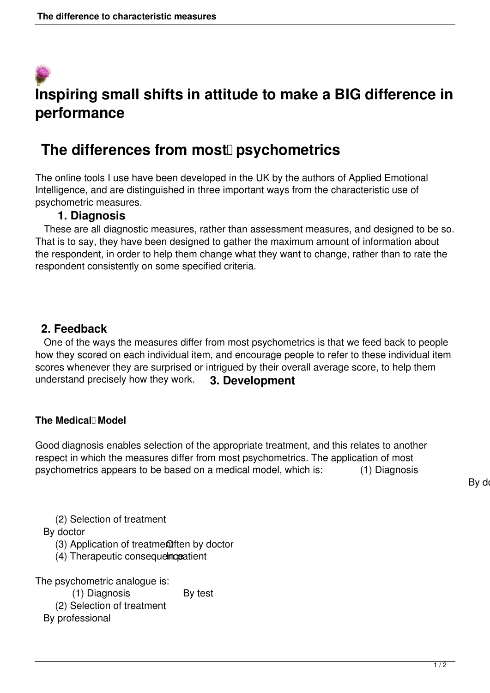# **Inspiring small shifts in attitude to make a BIG difference in performance**

## The differences from most<sup>[]</sup> psychometrics

The online tools I use have been developed in the UK by the authors of Applied Emotional Intelligence, and are distinguished in three important ways from the characteristic use of psychometric measures.

#### **1. Diagnosis**

 These are all diagnostic measures, rather than assessment measures, and designed to be so. That is to say, they have been designed to gather the maximum amount of information about the respondent, in order to help them change what they want to change, rather than to rate the respondent consistently on some specified criteria.

### **2. Feedback**

 One of the ways the measures differ from most psychometrics is that we feed back to people how they scored on each individual item, and encourage people to refer to these individual item scores whenever they are surprised or intrigued by their overall average score, to help them understand precisely how they work. **3. Development** 

#### The Medical<sup>l</sup> Model

Good diagnosis enables selection of the appropriate treatment, and this relates to another respect in which the measures differ from most psychometrics. The application of most psychometrics appears to be based on a medical model, which is: (1) Diagnosis

By do

(2) Selection of treatment

By doctor

 $(3)$  Application of treatme $Q$ ften by doctor

(4) Therapeutic consequelmopatient

The psychometric analogue is: (1) Diagnosis By test (2) Selection of treatment By professional